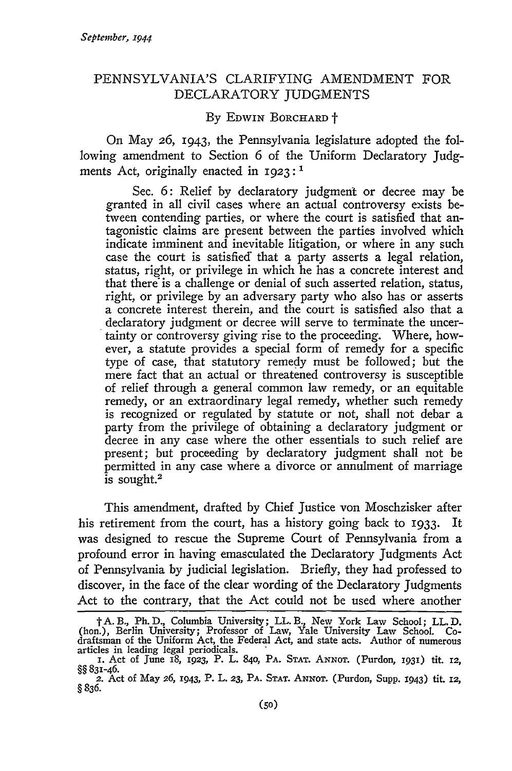## PENNSYLVANIA'S CLARIFYING AMENDMENT FOR DECLARATORY JUDGMENTS

## By EDWIN BORCHARD +

On May *26,* 1943, the Pennsylvania legislature adopted the following amendment to Section 6 of the Uniform Declaratory Judgments Act, originally enacted in  $1923$ :<sup>1</sup>

Sec. 6: Relief by declaratory judgment or decree may be granted in all civil cases where an actual controversy exists between contending parties, or where the court is satisfied that antagonistic claims are present between the parties involved which indicate imminent and inevitable litigation, or where in any such case the court is satisfied' that a party asserts a legal relation, status, right, or privilege in which he has a concrete interest and that there'is a challenge or denial of such asserted relation, status, right, or privilege by an adversary party who also has or asserts a concrete interest therein, and the court is satisfied also that a declaratory judgment or decree will serve to terminate the uncertainty or controversy giving rise to the proceeding. Where, however, a statute provides a special form of remedy for a specific type of case, that statutory remedy must be followed; but the mere fact that an actual or threatened controversy is susceptible of relief through a general common law remedy, or an equitable remedy, or an extraordinary legal remedy, whether such remedy is recognized or regulated by statute or not, shall not debar a party from the privilege of obtaining a declaratory judgment or decree in any case where the other essentials to such relief are present; but proceeding by declaratory judgment shall not be permitted in any case where a divorce or annulment of marriage is sought.2

This amendment, drafted by Chief Justice von Moschzisker after his retirement from the court, has a history going back to 1933. It was designed to rescue the Supreme Court of Pennsylvania from a profound error in having emasculated the Declaratory Judgments Act of Pennsylvania by judicial legislation. Briefly, they had professed to discover, in the face of the clear wording of the Declaratory Judgments Act to the contrary, that the Act could not be used where another

t A. B., Ph. D., Columbia University; LL. B., New York Law School; LL. D. (hon.), Berlin University; Professor of Law, Yale University Law School. Codraftsman of the Uniform Act, the Federal Act, and state acts. Author of numerous articles in leading legal periodicals.<br>
1. Act of June 18, 1923, P. L. 840, PA. STAT. ANNOT. (Purdon, 1931) tit. 12,

<sup>§§ 83</sup>r-46.

<sup>2.</sup> Act of May *:26,* 1943, P. L. **23,** PA. STAT. ANNOT. (Purdon, Supp. 1943) tit. **12,** §836.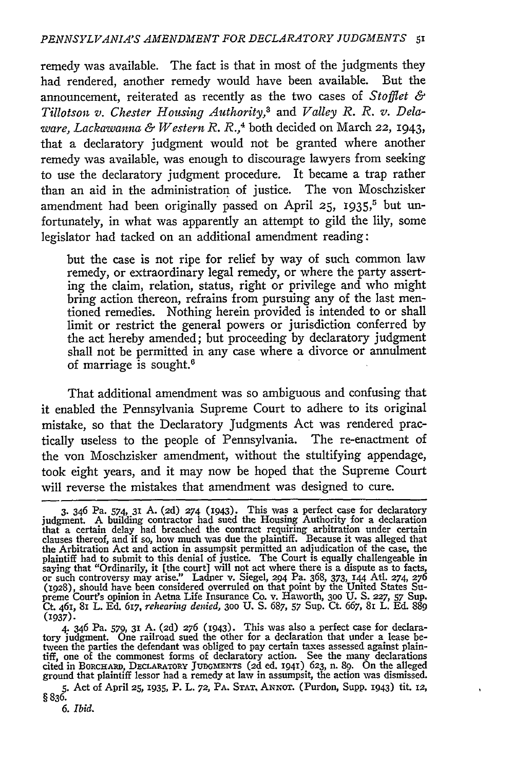remedy was available. The fact is that in most of the judgments they had rendered, another remedy would have been available. But the announcement, reiterated as recently as the two cases of *Stofflet & Tillotson v. Chester Housing Authority,3* and *Valley R. R. v. Delaware, Lackawama & Western R. R.,4* both decided on March 22, 1943, that a declaratory judgment would not be granted where another remedy was available, was enough to discourage lawyers from seeking to use the declaratory judgment procedure. It became a trap rather than an aid in the administration of justice. The von Moschzisker amendment had been originally passed on April **25, 1935,5** but unfortunately, in what was apparently an attempt to gild the lily, some legislator had tacked on an additional amendment reading:

but the case is not ripe for relief by way of such common law remedy, or extraordinary legal remedy, or where the party asserting the claim, relation, status, right or privilege and who might bring action thereon, refrains from pursuing any of the last mentioned remedies. Nothing herein provided is intended to or shall limit or restrict the general powers or jurisdiction conferred by the act hereby amended; but proceeding by declaratory judgment shall not be permitted in any case where a divorce or annulment of marriage is sought.<sup>6</sup>

That additional amendment was so ambiguous and confusing that it enabled the Pennsylvania Supreme Court to adhere to its original mistake, so that the Declaratory Judgments Act was rendered practically useless to the people of Pennsylvania. The re-enactment of the von Moschzisker amendment, without the stultifying appendage, took eight years, and it may now be hoped that the Supreme Court will reverse the mistakes that amendment was designed to cure.

<sup>3. 346</sup> Pa. 574, 31 A. (2d) 274 (1943). This was a perfect case for declaratory<br>judgment. A building contractor had sued the Housing Authority for a declaration<br>that a certain delay had breached the contract requiring arbit the Arbitration Act and action in assumpsit permitted an adjudication of the case, the plaintiff had to submit to this denial of justice. The Court is equally challengeable in saying that "Ordinarily, it [the court] will not act where there is a dispute as to facts, or such controversy may arise." Ladner v. Siegel, 294 Pa. 368, 373, 144 Atl. 274, 276 (1928), should have been considered overruled preme Court's opinion in Aetna Life Insurance Co. v. Haworth, 300 U. S. 227, 57 Sup<br>Ct. 461, 81 L. Ed. 617, rehearing denied, 300 U. S. 687, 57 Sup. Ct. 667, 81 L. Ed. 889 **(1937).**

<sup>4. 346</sup> Pa. 579, **31** A. **(2d) 276** (1943). This was also a perfect case for declara-tory judgment. One railroad sued the other for a declaration that under a lease between the parties the defendant was obliged to pay certain taxes assessed against plain-<br>tiff, one of the commonest forms of declaratory action. See the many declarations<br>cited in BORCHARD, DECLARATORY JUDGMENTS (2d ed. 19 ground that plaintiff lessor had a remedy at law in assumpsit, the action was dismissed

**<sup>5.</sup>** Act of April **25,** 1935, P. L. **72,** PA. **STAT,** ANNoT. (Purdon, Supp. 1943) tit. **12, §836.**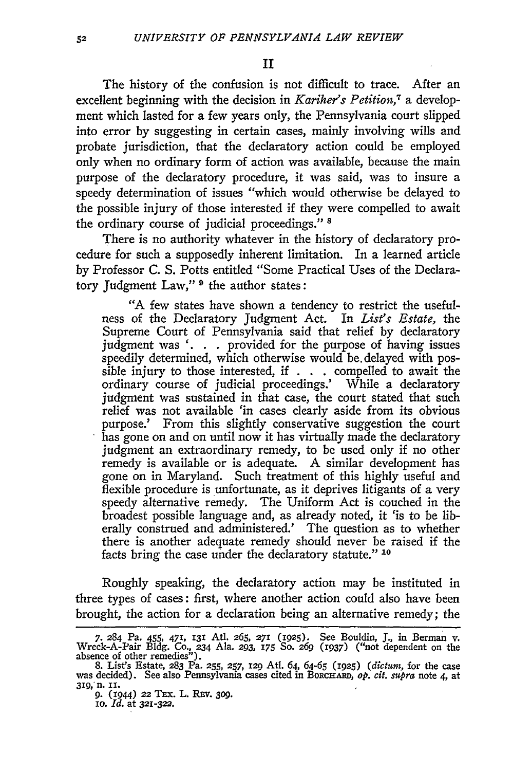The history of the confusion is not difficult to trace. After an excellent beginning with the decision in *Kariher's Petition,7* a development which lasted for a few years only, the Pennsylvania court slipped into error by suggesting in certain cases, mainly involving wills and probate jurisdiction, that the declaratory action could be employed only when no ordinary form of action was available, because the main purpose of the declaratory procedure, it was said, was to insure a speedy determination of issues "which would otherwise be delayed to the possible injury of those interested if they were compelled to await the ordinary course of judicial proceedings." **8**

There is no authority whatever in the history of declaratory procedure for such a supposedly inherent limitation. In a learned article by Professor C. S. Potts entitled "Some Practical Uses of the Declaratory judgment Law," *9* the author states:

**"A** few states have shown a tendency to restrict the usefulness of the Declaratory judgment Act. In *List's Estate,* the Supreme Court of Pennsylvania said that relief **by** declaratory judgment was **'. . .** provided for the purpose of having issues speedily determined, which otherwise would be. delayed with possible injury to those interested, if **. . .** compelled to await the ordinary course of judicial proceedings.' While a declaratory judgment was sustained in that case, the court stated that such relief was not available *'in* cases clearly aside from its obvious purpose.' From this slightly conservative suggestion the court has gone on and on until now it has virtually made the declaratory judgment an extraordinary remedy, to be used only if no other remedy is available or is adequate. A similar development has gone on in Maryland. Such treatment of this **highly** useful and flexible procedure is unfortunate, as it deprives litigants of a very speedy alternative remedy. The Uniform Act is couched in the broadest possible language and, as already noted, it 'is to be liberally construed and administered.' The question as to whether there is another adequate remedy should never be raised if the facts bring the case under the declaratory statute." **10**

Roughly speaking, the declaratory action may be instituted in three types of cases: first, where another action could also have been brought, the action for a declaration being an alternative remedy; the

**<sup>7. 284</sup>** Pa. 455, **471, 131** Atl. **265,** 271 **(1925).** See Bouldin, **J.,** in Berman v. Wreck-A-Pair **Bldg. Co., 234** Ala. **293, 175 So.** *269* (0937) ("not dependent on the absence of other remedies"). **8.** List's Estate, **283** Pa. **255, 257,** 129 At. *64,* **64-65** (1925) *(dictum,* for the case

was decided). See also Pennsylvania cases cited in Borchard, *Gas, Citerum,* for the case<br>was decided). See also Pennsylvania cases cited in Borchard, *op. cit. supra* note 4, at **319, n. iI.**

**<sup>9.</sup>** (1944) **22** TEx. L. REV. **309.** io. *Id.* at **321-322.**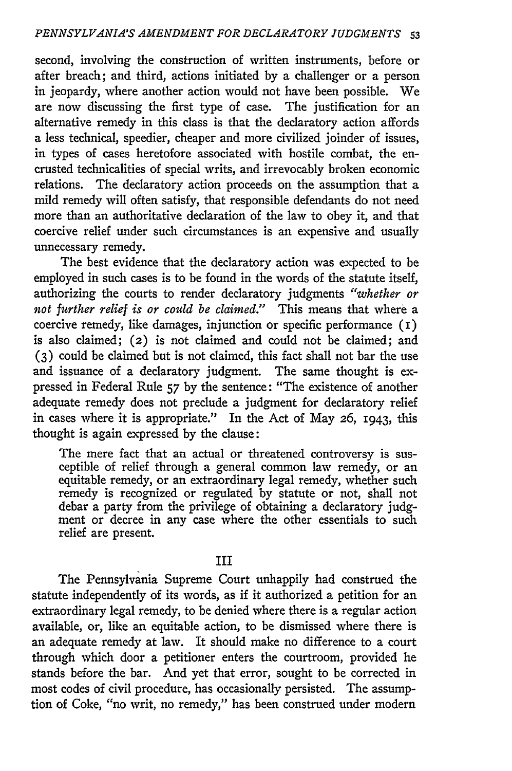second, involving the construction of written instruments, before or after breach; and third, actions initiated by a challenger or a person in jeopardy, where another action would not have been possible. We are now discussing the first type of case. The justification for an alternative remedy in this class is that the declaratory action affords a less technical, speedier, cheaper and more civilized joinder of issues, in types of cases heretofore associated with hostile combat, the encrusted technicalities of special writs, and irrevocably broken economic relations. The declaratory action proceeds on the assumption that a mild remedy will often satisfy, that responsible defendants do not need more than an authoritative declaration of the law to obey it, and that coercive relief under such circumstances is an expensive and usually unnecessary remedy.

The best evidence that the declaratory action was expected to be employed in such cases is to be found in the words of the statute itself, authorizing the courts to render declaratory judgments *"whether or not further relief is or could be claimed."* This means that where a coercive remedy, like damages, injunction or specific performance  $(1)$ is also claimed; **(2)** is not claimed and could not be claimed; and **(3)** could be claimed but is not claimed, this fact shall not bar the use and issuance of a declaratory judgment. The same thought is expressed in Federal Rule 57 by the sentence: "The existence of another adequate remedy does not preclude a judgment for declaratory relief in cases where it is appropriate." In the Act of May 26, 1943, this thought is again expressed by the clause:

The mere fact that an actual or threatened controversy is susceptible of relief through a general common law remedy, or an equitable remedy, or an extraordinary legal remedy, whether such remedy is recognized or regulated by statute or not, shall not debar a party from the privilege of obtaining a declaratory judgment or decree in any case where the other essentials to such relief are present.

## III

The Pennsylvania Supreme Court unhappily had construed the statute independently of its words, as if it authorized a petition for an extraordinary legal remedy, to be denied where there is a regular action available, or, like an equitable action, to be dismissed where there is an adequate remedy at law. It should make no difference to a court through which door a petitioner enters the courtroom, provided he stands before the bar. And yet that error, sought to be corrected in most codes of civil procedure, has occasionally persisted. The assumption of Coke, "no writ, no remedy," has been construed under modern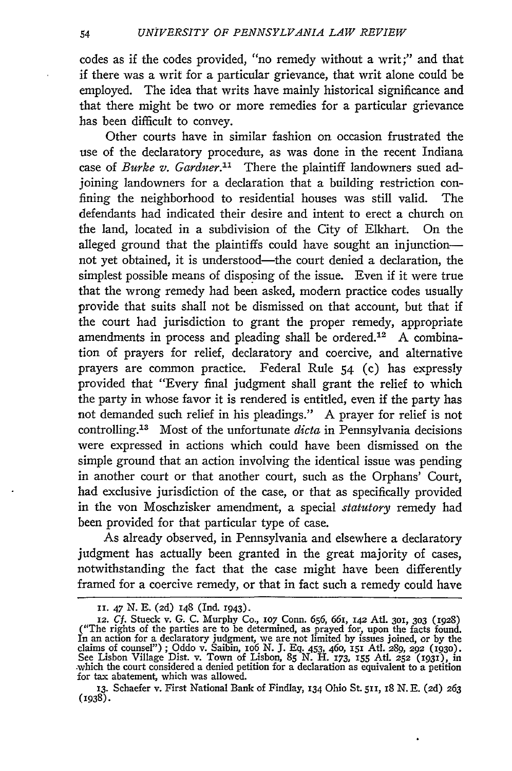codes as if the codes provided, "no remedy without a writ;" and that if there was a writ for a particular grievance, that writ alone could be employed. The idea that writs have mainly historical significance and that there might be two or more remedies for a particular grievance has been difficult to convey.

Other courts have in similar fashion on occasion frustrated the use of the declaratory procedure, as was done in the recent Indiana case of *Burke v. Gardner."* There the plaintiff landowners sued adjoining landowners for a declaration that a building restriction confining the neighborhood to residential houses was still valid. The defendants had indicated their desire and intent to erect a church on the land, located in a subdivision of the City of Elkhart. On the alleged ground that the plaintiffs could have sought an injunctionnot yet obtained, it is understood—the court denied a declaration, the simplest possible means of disposing of the issue. Even if it were true that the wrong remedy had been asked, modern practice codes usually provide that suits shall not be dismissed on that account, but that if the court had jurisdiction to grant the proper remedy, appropriate amendments in process and pleading shall be ordered.<sup>12</sup> A combination of prayers for relief, declaratory and coercive, and alternative prayers are common practice. Federal Rule 54 (c) has expressly provided that "Every final judgment shall grant the relief to which the party in whose favor it is rendered is entitled, even if the party has not demanded such relief in his pleadings." **A** prayer for relief is not controlling.<sup>13</sup> Most of the unfortunate *dicta* in Pennsylvania decisions were expressed in actions which could have been dismissed on the simple ground that an action involving the identical issue was pending in another court or that another court, such as the Orphans' Court, had exclusive jurisdiction of the case, or that as specifically provided in the von Moschzisker amendment, a special *statutory* remedy had been provided for that particular type of case.

As already observed, in Pennsylvania and elsewhere a declaratory judgment has actually been granted in the great majority of cases, notwithstanding the fact that the case might have been differently framed for a coercive remedy, or that in fact such a remedy could have

**II.** 47 N. E. **(2d)** 148 (Ind. 1943).

<sup>12.</sup> Cf. Stueck v. G. C. Murphy Co., 107 Conn. 656, 661, 142 Atl. 301, 303 (1928) ("The rights of the parties are to be determined, as prayed for, upon the facts found.<br>In an action for a declaratory judgment, we are not li claims of counsel") ; Oddo v. Saibin, io6 N. **J.** Eq. 453, 46o, 151 Atl. 289, 292 **(1930).** See Lisbon Village Dist. v. Town of Lisbon, 85 N. H. 173, 155 Atl. 252 (1931), in which the court considered a denied petition for a declaration as equivalent to a petition for tax abatement, which was allowed.

**<sup>13.</sup>** Schaefer v. First National Bank of Findlay, 134 Ohio St. 511, 18 N. E. **(2d)** 263 (1938).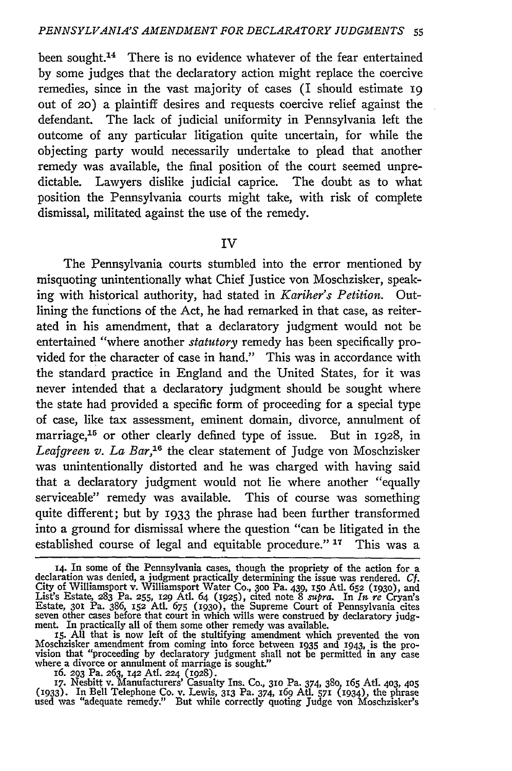been sought.<sup>14</sup> There is no evidence whatever of the fear entertained by some judges that the declaratory action might replace the coercive remedies, since in the vast majority of cases (I should estimate 19 out of *2o)* a plaintiff desires and requests coercive relief against the defendant. The lack of judicial uniformity in Pennsylvania left the outcome of any particular litigation quite uncertain, for while the objecting party would necessarily undertake to plead that another remedy was available, the final position of the court seemed unpredictable. Lawyers dislike judicial caprice. The doubt as to what position the Pennsylvania courts might take, with risk of complete dismissal, militated against the use of the remedy.

IV

The Pennsylvania courts stumbled into the error mentioned by misquoting unintentionally what Chief Justice von Moschzisker, speaking with historical authority, had stated in *Kariher's Petition.* Outlining the functions of the Act, he had remarked in that case, as reiterated in his amendment, that a declaratory judgment would not be entertained "where another *statutory* remedy has been specifically provided for the character of case in hand." This was in accordance with the standard practice in England and the United States, for it was never intended that a declaratory judgment should be sought where the state had provided a specific form of proceeding for a special type of case, like tax assessment, eminent domain, divorce, annulment of marriage,<sup>15</sup> or other clearly defined type of issue. But in 1928, in Leafgreen v. La Bar,<sup>16</sup> the clear statement of Judge von Moschzisker was unintentionally distorted and he was charged with having said that a declaratory judgment would not lie where another "equally serviceable" remedy was available. This of course was something quite different; but by 1933 the phrase had been further transformed into a ground for dismissal where the question "can be litigated in the established course of legal and equitable procedure."<sup>17</sup> This was a

17. Nesbitt v. Manufacturers' Casualty Ins. Co., 310 Pa. 374, 380, 165 Atl. 403, 405<br>(1933). In Bell Telephone Co. v. Lewis, 313 Pa. 374, 169 Atl. 571 (1934), the phrase<br>used was "adequate remedy." But while correctly quot

**<sup>14.</sup>** In some of the Pennsylvania cases, though the propriety of the action for a declaration was denied, a judgment practically determining the issue was rendered. *Cf.* City of Williamsport v. Williamsport Water Co., 3oo Pa. 439, 15o AUt. 652 **(1930),** and List's Estate, **283** Pa. **255, 129** Atl. 64 (1925), cited note 8 mzpra. In *In. re* Cryan's Estate, **301** Pa. 386, 152 At. 675 **(1930),** the Supreme Court of Pennsylvania cites

seven other cases before that court in which wills were construed by declaratory judg-<br>ment. In practically all of them some other remedy was available.<br>15. All that is now left of the stultifying amendment which prevented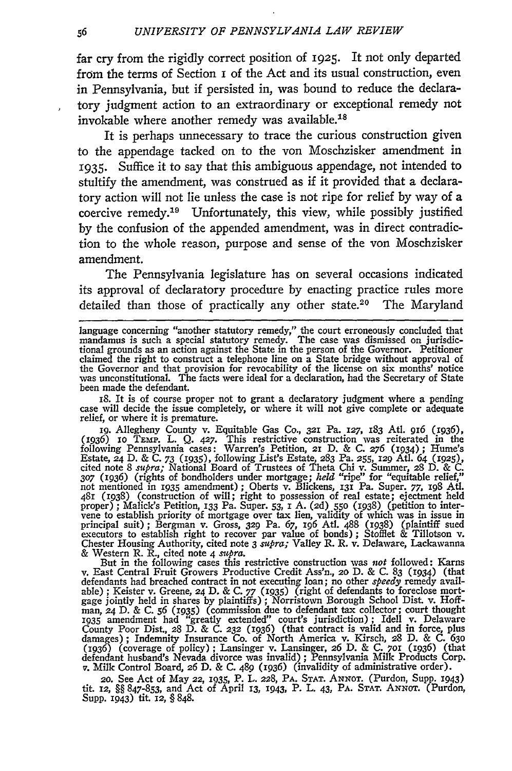far cry from the rigidly correct position of **1925.** It not only departed from the terms of Section i of the Act and its usual construction, even in Pennsylvania, but if persisted in, was bound to reduce the declaratory judgment action to an extraordinary or exceptional remedy not invokable where another remedy was available.<sup>18</sup>

It is perhaps unnecessary to trace the curious construction given to the appendage tacked on to the von Moschzisker amendment in 1935. Suffice it to say that this ambiguous appendage, not intended to stultify the amendment, was construed as if it provided that a declaratory action will not lie unless the case is not ripe for relief by way of a coercive remedy. 19 Unfortunately, this view, while possibly justified by the confusion of the appended amendment, was in direct contradiction to the whole reason, purpose and sense of the von Moschzisker amendment.

The Pennsylvania legislature has on several occasions indicated its approval of declaratory procedure by enacting practice rules more detailed than those of practically any other state.<sup>20</sup> The Maryland

18. It is of course proper not to grant a declaratory judgment where a pending case will decide the issue completely, or where it will not give complete or adequate relief, or where it is premature.

ig. Allegheny County v. Equitable Gas **Co., 321** Pa. **127,** 183 AtI. *916* (1936), (1936) **IO** TEMp. L. Q. 427. This restrictive construction was reiterated in the following Pennsylvania cases: Warren's Petition, **21** D. & C. 276 **(1934);** Hume's Estate, 24 D. & C. *73 (935),* following List's Estate, 283 Pa. *255,* **129** AtI. 64 **(1925),** cited note 8 *supra*; National Board of Trustees of Theta Chi v. Summer, 28 D. & C.<br>307 (1936) (rights of bondholders under mortgage; *held* "ripe" for "equitable relief,"<br>not mentioned in 1935 amendment); Oberts v. Blicke 481 (1938) (construction of will; right to possession of real estate; ejectment held<br>proper); Malick's Petition, 133 Pa. Super. 53, 1 A. (2d) 550 (1938) (petition to inter-<br>vene to establish priority of mortgage over tax l Chester Housing Authority, cited note 3 *supra;* Valley R. R. v. Delaware, Lackawanna & Western R. R., cited note 4 *supra.*

But in the following cases this restrictive construction was not followed: Karns v. East Central Fruit Growers Productive Credit Ass'n., 20 D. & C. 83 (1934) (that defendants had breached contract in not executing loan; no other *speedy* remedy available); Keister v. Greene, 24 D. & C. 77 (1935) (righ County Poor Dist., 28 D. & C. **232** (1936) (that contract is valid and in force, plus damages); Indemnity Insurance Co. of North America v. Kirsch, 28 D. & C. **630** (1936) (coverage of policy) ; Lansinger v. Lansinger, 26 D. & C. 7oi (1936) (that defendant husband's Nevada divorce was invalid); Pennsylvania Milk Products Corp. v. Milk Control Board, 26 D. & C. 489 (1936) (invalidity of administrative order).

20. See Act of May 22, *1935,* P. L. **228,** PA. **STAT. ANNOT.** (Purdon, Supp. 1943) tit. **12,** §§ 847-853, and Act of April **13, 1943,** P. L. 43, PA. **STAT.** ANNor. (Purdon, Supp. 1943) tit. **12, §** 848.

language concerning "another statutory remedy," the court erroneously concluded that<br>mandamus is such a special statutory remedy. The case was dismissed on jurisdic-<br>tional grounds as an action against the State in the per claimed the right to construct a telephone line on a State bridge without approval of<br>the Governor and that provision for revocability of the license on six months' notice<br>was unconstitutional. The facts were ideal for a d been made the defendant.